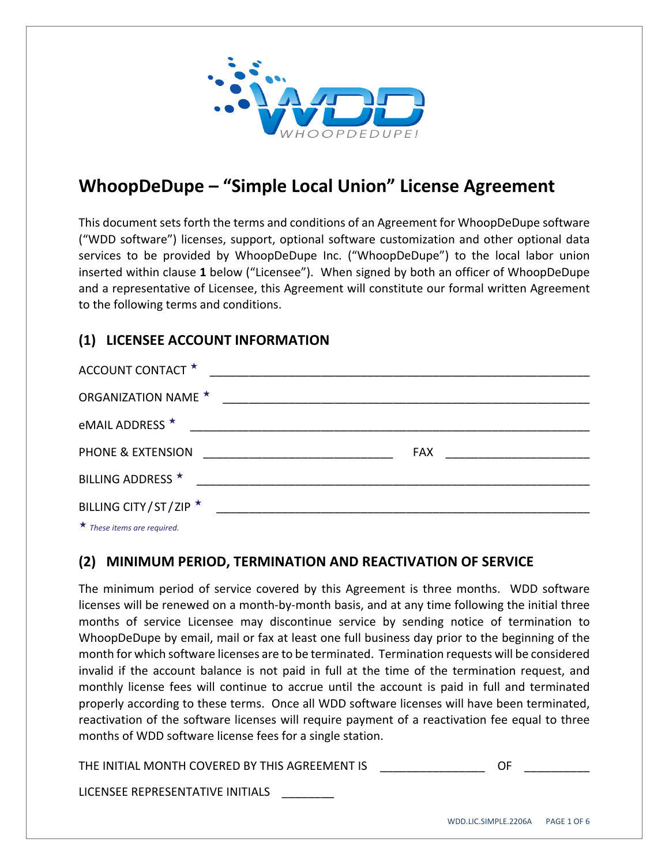

# **WhoopDeDupe – "Simple Local Union" License Agreement**

This document sets forth the terms and conditions of an Agreement for WhoopDeDupe software ("WDD software") licenses, support, optional software customization and other optional data services to be provided by WhoopDeDupe Inc. ("WhoopDeDupe") to the local labor union inserted within clause **1** below ("Licensee"). When signed by both an officer of WhoopDeDupe and a representative of Licensee, this Agreement will constitute our formal written Agreement to the following terms and conditions.

## **(1) LICENSEE ACCOUNT INFORMATION**

| ACCOUNT CONTACT *                                                                                                                                                                                                                    |                                                                                                                      |                                |
|--------------------------------------------------------------------------------------------------------------------------------------------------------------------------------------------------------------------------------------|----------------------------------------------------------------------------------------------------------------------|--------------------------------|
| <b>ORGANIZATION NAME ★</b>                                                                                                                                                                                                           | <u> 2000 - 2000 - 2000 - 2000 - 2000 - 2000 - 2000 - 2000 - 2000 - 2000 - 2000 - 2000 - 2000 - 2000 - 2000 - 200</u> |                                |
| eMAIL ADDRESS ★                                                                                                                                                                                                                      |                                                                                                                      |                                |
| PHONE & EXTENSION                                                                                                                                                                                                                    |                                                                                                                      | FAX __________________________ |
| BILLING ADDRESS *                                                                                                                                                                                                                    |                                                                                                                      |                                |
| BILLING CITY/ST/ZIP ★                                                                                                                                                                                                                |                                                                                                                      |                                |
| $\mathbf{r}$ and $\mathbf{r}$ are all the set of the set of the set of the set of the set of the set of the set of the set of the set of the set of the set of the set of the set of the set of the set of the set of the set of the |                                                                                                                      |                                |

*These items are required.*

#### **(2) MINIMUM PERIOD, TERMINATION AND REACTIVATION OF SERVICE**

The minimum period of service covered by this Agreement is three months. WDD software licenses will be renewed on a month‐by‐month basis, and at any time following the initial three months of service Licensee may discontinue service by sending notice of termination to WhoopDeDupe by email, mail or fax at least one full business day prior to the beginning of the month for which software licenses are to be terminated. Termination requests will be considered invalid if the account balance is not paid in full at the time of the termination request, and monthly license fees will continue to accrue until the account is paid in full and terminated properly according to these terms. Once all WDD software licenses will have been terminated, reactivation of the software licenses will require payment of a reactivation fee equal to three months of WDD software license fees for a single station.

THE INITIAL MONTH COVERED BY THIS AGREEMENT IS **THE SAME IN** 

LICENSEE REPRESENTATIVE INITIALS \_\_\_\_\_\_\_\_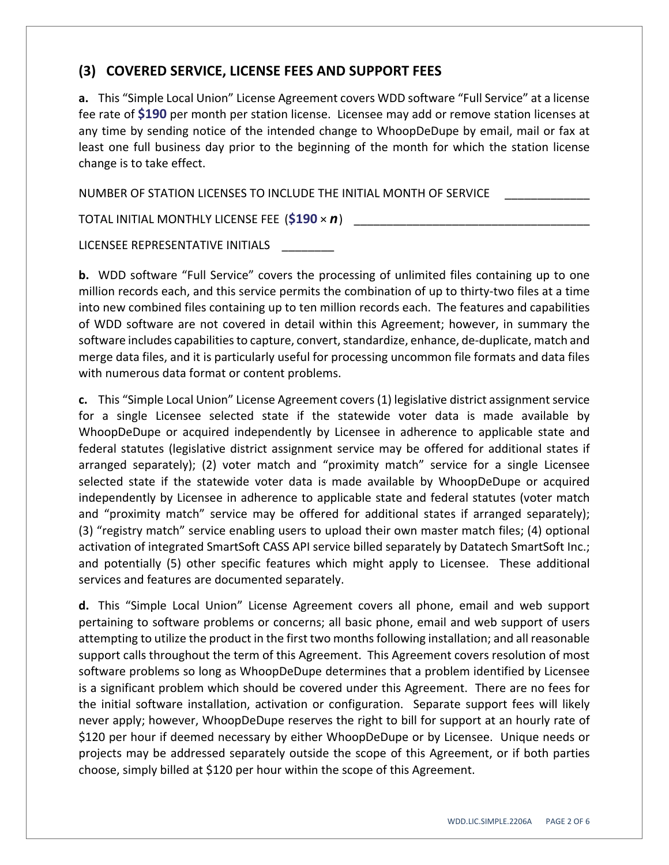#### **(3) COVERED SERVICE, LICENSE FEES AND SUPPORT FEES**

**a.** This "Simple Local Union" License Agreement covers WDD software "Full Service" at a license fee rate of **\$190** per month per station license. Licensee may add or remove station licenses at any time by sending notice of the intended change to WhoopDeDupe by email, mail or fax at least one full business day prior to the beginning of the month for which the station license change is to take effect.

NUMBER OF STATION LICENSES TO INCLUDE THE INITIAL MONTH OF SERVICE

TOTAL INITIAL MONTHLY LICENSE FEE (\$190 × *n*)

LICENSEE REPRESENTATIVE INITIALS

**b.** WDD software "Full Service" covers the processing of unlimited files containing up to one million records each, and this service permits the combination of up to thirty-two files at a time into new combined files containing up to ten million records each. The features and capabilities of WDD software are not covered in detail within this Agreement; however, in summary the software includes capabilities to capture, convert, standardize, enhance, de-duplicate, match and merge data files, and it is particularly useful for processing uncommon file formats and data files with numerous data format or content problems.

**c.** This "Simple Local Union" License Agreement covers (1) legislative district assignment service for a single Licensee selected state if the statewide voter data is made available by WhoopDeDupe or acquired independently by Licensee in adherence to applicable state and federal statutes (legislative district assignment service may be offered for additional states if arranged separately); (2) voter match and "proximity match" service for a single Licensee selected state if the statewide voter data is made available by WhoopDeDupe or acquired independently by Licensee in adherence to applicable state and federal statutes (voter match and "proximity match" service may be offered for additional states if arranged separately); (3) "registry match" service enabling users to upload their own master match files; (4) optional activation of integrated SmartSoft CASS API service billed separately by Datatech SmartSoft Inc.; and potentially (5) other specific features which might apply to Licensee. These additional services and features are documented separately.

**d.** This "Simple Local Union" License Agreement covers all phone, email and web support pertaining to software problems or concerns; all basic phone, email and web support of users attempting to utilize the product in the first two months following installation; and all reasonable support calls throughout the term of this Agreement. This Agreement covers resolution of most software problems so long as WhoopDeDupe determines that a problem identified by Licensee is a significant problem which should be covered under this Agreement. There are no fees for the initial software installation, activation or configuration. Separate support fees will likely never apply; however, WhoopDeDupe reserves the right to bill for support at an hourly rate of \$120 per hour if deemed necessary by either WhoopDeDupe or by Licensee. Unique needs or projects may be addressed separately outside the scope of this Agreement, or if both parties choose, simply billed at \$120 per hour within the scope of this Agreement.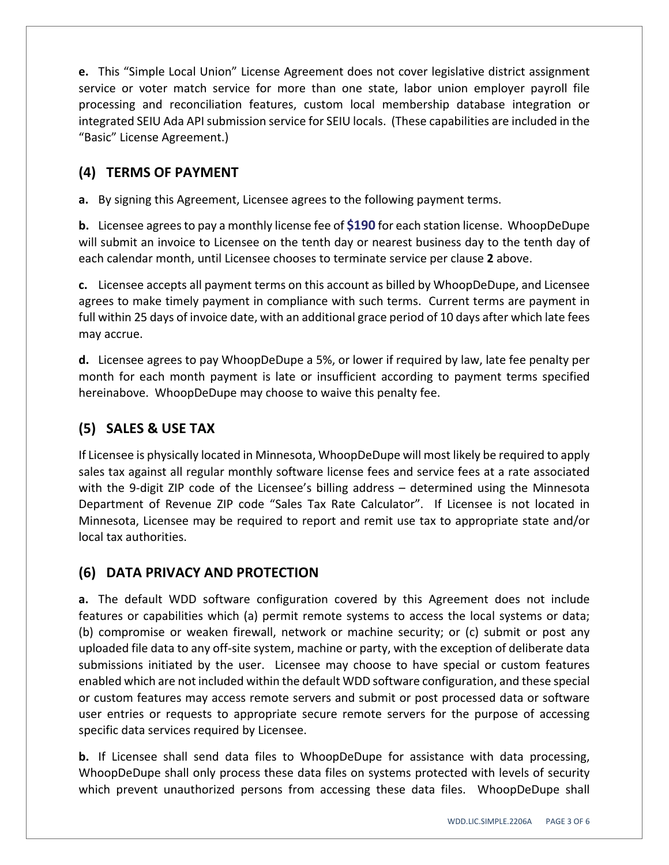**e.** This "Simple Local Union" License Agreement does not cover legislative district assignment service or voter match service for more than one state, labor union employer payroll file processing and reconciliation features, custom local membership database integration or integrated SEIU Ada APIsubmission service for SEIU locals. (These capabilities are included in the "Basic" License Agreement.)

## **(4) TERMS OF PAYMENT**

**a.** By signing this Agreement, Licensee agrees to the following payment terms.

**b.** Licensee agrees to pay a monthly license fee of \$190 for each station license. WhoopDeDupe will submit an invoice to Licensee on the tenth day or nearest business day to the tenth day of each calendar month, until Licensee chooses to terminate service per clause **2** above.

**c.** Licensee accepts all payment terms on this account as billed by WhoopDeDupe, and Licensee agrees to make timely payment in compliance with such terms. Current terms are payment in full within 25 days of invoice date, with an additional grace period of 10 days after which late fees may accrue.

**d.** Licensee agrees to pay WhoopDeDupe a 5%, or lower if required by law, late fee penalty per month for each month payment is late or insufficient according to payment terms specified hereinabove. WhoopDeDupe may choose to waive this penalty fee.

#### **(5) SALES & USE TAX**

If Licensee is physically located in Minnesota, WhoopDeDupe will most likely be required to apply sales tax against all regular monthly software license fees and service fees at a rate associated with the 9-digit ZIP code of the Licensee's billing address – determined using the Minnesota Department of Revenue ZIP code "Sales Tax Rate Calculator". If Licensee is not located in Minnesota, Licensee may be required to report and remit use tax to appropriate state and/or local tax authorities.

#### **(6) DATA PRIVACY AND PROTECTION**

**a.** The default WDD software configuration covered by this Agreement does not include features or capabilities which (a) permit remote systems to access the local systems or data; (b) compromise or weaken firewall, network or machine security; or (c) submit or post any uploaded file data to any off‐site system, machine or party, with the exception of deliberate data submissions initiated by the user. Licensee may choose to have special or custom features enabled which are not included within the default WDD software configuration, and these special or custom features may access remote servers and submit or post processed data or software user entries or requests to appropriate secure remote servers for the purpose of accessing specific data services required by Licensee.

**b.** If Licensee shall send data files to WhoopDeDupe for assistance with data processing, WhoopDeDupe shall only process these data files on systems protected with levels of security which prevent unauthorized persons from accessing these data files. WhoopDeDupe shall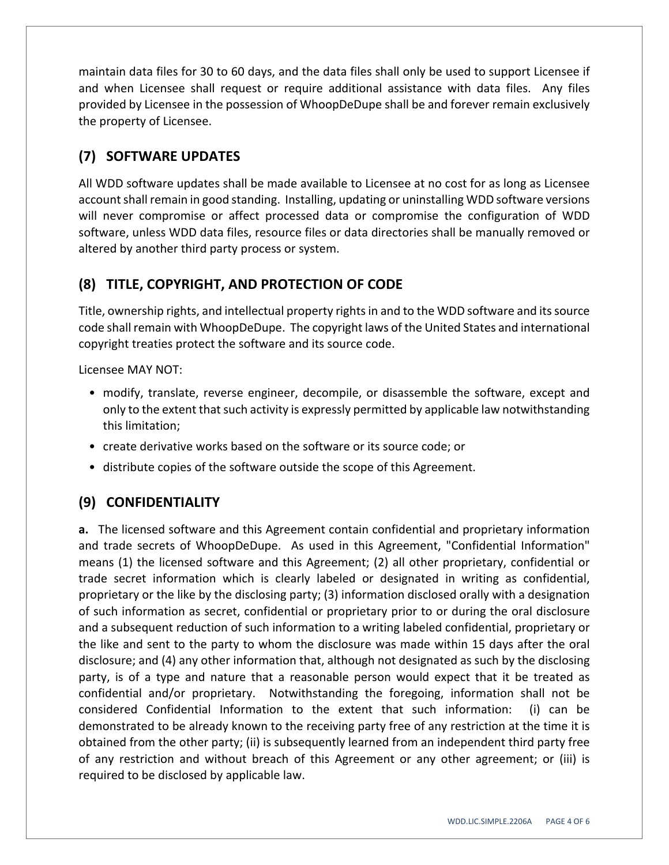maintain data files for 30 to 60 days, and the data files shall only be used to support Licensee if and when Licensee shall request or require additional assistance with data files. Any files provided by Licensee in the possession of WhoopDeDupe shall be and forever remain exclusively the property of Licensee.

## **(7) SOFTWARE UPDATES**

All WDD software updates shall be made available to Licensee at no cost for as long as Licensee account shall remain in good standing. Installing, updating or uninstalling WDD software versions will never compromise or affect processed data or compromise the configuration of WDD software, unless WDD data files, resource files or data directories shall be manually removed or altered by another third party process or system.

## **(8) TITLE, COPYRIGHT, AND PROTECTION OF CODE**

Title, ownership rights, and intellectual property rightsin and to the WDD software and itssource code shall remain with WhoopDeDupe. The copyright laws of the United States and international copyright treaties protect the software and its source code.

Licensee MAY NOT:

- modify, translate, reverse engineer, decompile, or disassemble the software, except and only to the extent that such activity is expressly permitted by applicable law notwithstanding this limitation;
- create derivative works based on the software or its source code; or
- distribute copies of the software outside the scope of this Agreement.

## **(9) CONFIDENTIALITY**

**a.** The licensed software and this Agreement contain confidential and proprietary information and trade secrets of WhoopDeDupe. As used in this Agreement, "Confidential Information" means (1) the licensed software and this Agreement; (2) all other proprietary, confidential or trade secret information which is clearly labeled or designated in writing as confidential, proprietary or the like by the disclosing party; (3) information disclosed orally with a designation of such information as secret, confidential or proprietary prior to or during the oral disclosure and a subsequent reduction of such information to a writing labeled confidential, proprietary or the like and sent to the party to whom the disclosure was made within 15 days after the oral disclosure; and (4) any other information that, although not designated as such by the disclosing party, is of a type and nature that a reasonable person would expect that it be treated as confidential and/or proprietary. Notwithstanding the foregoing, information shall not be considered Confidential Information to the extent that such information: (i) can be demonstrated to be already known to the receiving party free of any restriction at the time it is obtained from the other party; (ii) is subsequently learned from an independent third party free of any restriction and without breach of this Agreement or any other agreement; or (iii) is required to be disclosed by applicable law.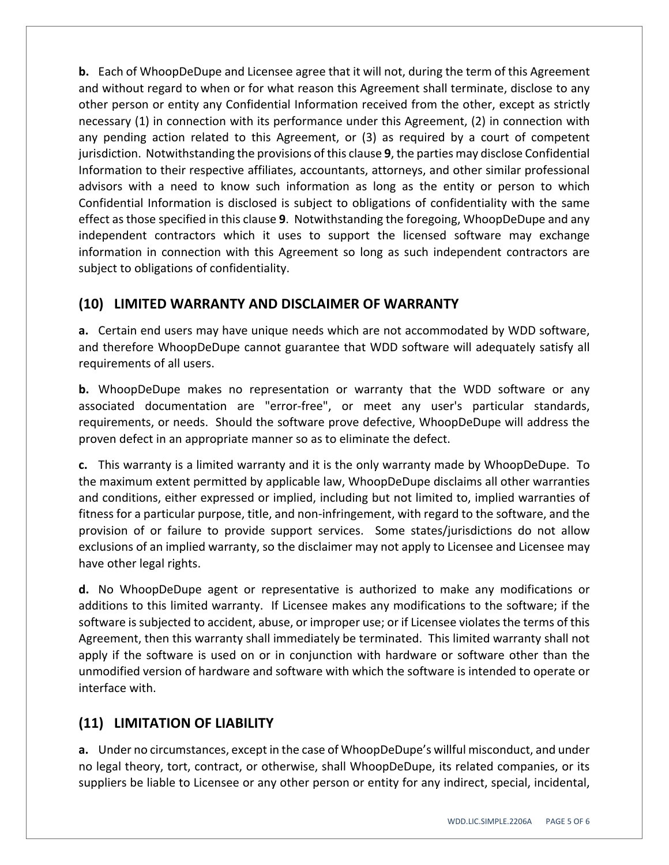**b.** Each of WhoopDeDupe and Licensee agree that it will not, during the term of this Agreement and without regard to when or for what reason this Agreement shall terminate, disclose to any other person or entity any Confidential Information received from the other, except as strictly necessary (1) in connection with its performance under this Agreement, (2) in connection with any pending action related to this Agreement, or (3) as required by a court of competent jurisdiction. Notwithstanding the provisions of this clause **9**, the parties may disclose Confidential Information to their respective affiliates, accountants, attorneys, and other similar professional advisors with a need to know such information as long as the entity or person to which Confidential Information is disclosed is subject to obligations of confidentiality with the same effect asthose specified in this clause **9**. Notwithstanding the foregoing, WhoopDeDupe and any independent contractors which it uses to support the licensed software may exchange information in connection with this Agreement so long as such independent contractors are subject to obligations of confidentiality.

## **(10) LIMITED WARRANTY AND DISCLAIMER OF WARRANTY**

**a.** Certain end users may have unique needs which are not accommodated by WDD software, and therefore WhoopDeDupe cannot guarantee that WDD software will adequately satisfy all requirements of all users.

**b.** WhoopDeDupe makes no representation or warranty that the WDD software or any associated documentation are "error‐free", or meet any user's particular standards, requirements, or needs. Should the software prove defective, WhoopDeDupe will address the proven defect in an appropriate manner so as to eliminate the defect.

**c.** This warranty is a limited warranty and it is the only warranty made by WhoopDeDupe. To the maximum extent permitted by applicable law, WhoopDeDupe disclaims all other warranties and conditions, either expressed or implied, including but not limited to, implied warranties of fitness for a particular purpose, title, and non-infringement, with regard to the software, and the provision of or failure to provide support services. Some states/jurisdictions do not allow exclusions of an implied warranty, so the disclaimer may not apply to Licensee and Licensee may have other legal rights.

**d.** No WhoopDeDupe agent or representative is authorized to make any modifications or additions to this limited warranty. If Licensee makes any modifications to the software; if the software is subjected to accident, abuse, or improper use; or if Licensee violates the terms of this Agreement, then this warranty shall immediately be terminated. This limited warranty shall not apply if the software is used on or in conjunction with hardware or software other than the unmodified version of hardware and software with which the software is intended to operate or interface with.

## **(11) LIMITATION OF LIABILITY**

**a.** Under no circumstances, except in the case of WhoopDeDupe's willful misconduct, and under no legal theory, tort, contract, or otherwise, shall WhoopDeDupe, its related companies, or its suppliers be liable to Licensee or any other person or entity for any indirect, special, incidental,